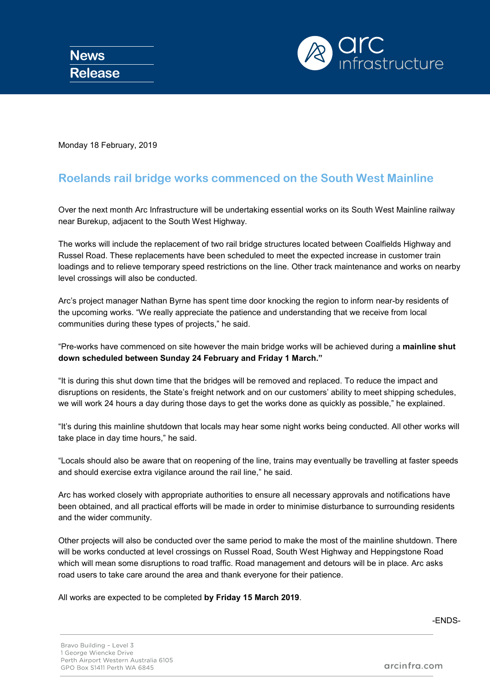

Monday 18 February, 2019

## **Roelands rail bridge works commenced on the South West Mainline**

Over the next month Arc Infrastructure will be undertaking essential works on its South West Mainline railway near Burekup, adjacent to the South West Highway.

The works will include the replacement of two rail bridge structures located between Coalfields Highway and Russel Road. These replacements have been scheduled to meet the expected increase in customer train loadings and to relieve temporary speed restrictions on the line. Other track maintenance and works on nearby level crossings will also be conducted.

Arc's project manager Nathan Byrne has spent time door knocking the region to inform near-by residents of the upcoming works. "We really appreciate the patience and understanding that we receive from local communities during these types of projects," he said.

"Pre-works have commenced on site however the main bridge works will be achieved during a **mainline shut down scheduled between Sunday 24 February and Friday 1 March."**

"It is during this shut down time that the bridges will be removed and replaced. To reduce the impact and disruptions on residents, the State's freight network and on our customers' ability to meet shipping schedules, we will work 24 hours a day during those days to get the works done as quickly as possible," he explained.

"It's during this mainline shutdown that locals may hear some night works being conducted. All other works will take place in day time hours," he said.

"Locals should also be aware that on reopening of the line, trains may eventually be travelling at faster speeds and should exercise extra vigilance around the rail line," he said.

Arc has worked closely with appropriate authorities to ensure all necessary approvals and notifications have been obtained, and all practical efforts will be made in order to minimise disturbance to surrounding residents and the wider community.

Other projects will also be conducted over the same period to make the most of the mainline shutdown. There will be works conducted at level crossings on Russel Road, South West Highway and Heppingstone Road which will mean some disruptions to road traffic. Road management and detours will be in place. Arc asks road users to take care around the area and thank everyone for their patience.

All works are expected to be completed **by Friday 15 March 2019**.

-ENDS-